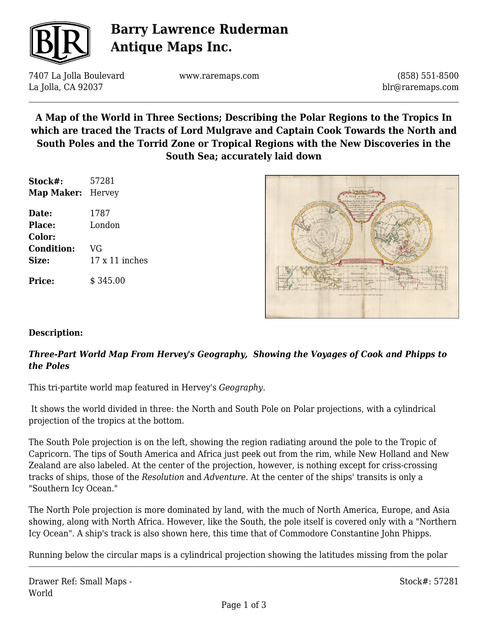

## **Barry Lawrence Ruderman Antique Maps Inc.**

7407 La Jolla Boulevard La Jolla, CA 92037

www.raremaps.com

(858) 551-8500 blr@raremaps.com

**A Map of the World in Three Sections; Describing the Polar Regions to the Tropics In which are traced the Tracts of Lord Mulgrave and Captain Cook Towards the North and South Poles and the Torrid Zone or Tropical Regions with the New Discoveries in the South Sea; accurately laid down**

| Stock#:<br><b>Map Maker:</b> Hervey | 57281                 |
|-------------------------------------|-----------------------|
|                                     |                       |
| Place:                              | London                |
| Color:                              |                       |
| <b>Condition:</b>                   | VG                    |
| Size:                               | $17 \times 11$ inches |
| <b>Price:</b>                       | \$345.00              |



#### **Description:**

### *Three-Part World Map From Hervey's Geography, Showing the Voyages of Cook and Phipps to the Poles*

This tri-partite world map featured in Hervey's *Geography*.

 It shows the world divided in three: the North and South Pole on Polar projections, with a cylindrical projection of the tropics at the bottom.

The South Pole projection is on the left, showing the region radiating around the pole to the Tropic of Capricorn. The tips of South America and Africa just peek out from the rim, while New Holland and New Zealand are also labeled. At the center of the projection, however, is nothing except for criss-crossing tracks of ships, those of the *Resolution* and *Adventure*. At the center of the ships' transits is only a "Southern Icy Ocean."

The North Pole projection is more dominated by land, with the much of North America, Europe, and Asia showing, along with North Africa. However, like the South, the pole itself is covered only with a "Northern Icy Ocean". A ship's track is also shown here, this time that of Commodore Constantine John Phipps.

Running below the circular maps is a cylindrical projection showing the latitudes missing from the polar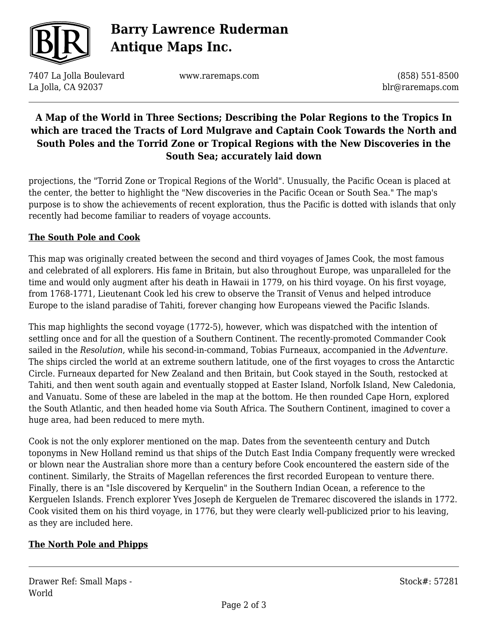

# **Barry Lawrence Ruderman Antique Maps Inc.**

7407 La Jolla Boulevard La Jolla, CA 92037

www.raremaps.com

(858) 551-8500 blr@raremaps.com

## **A Map of the World in Three Sections; Describing the Polar Regions to the Tropics In which are traced the Tracts of Lord Mulgrave and Captain Cook Towards the North and South Poles and the Torrid Zone or Tropical Regions with the New Discoveries in the South Sea; accurately laid down**

projections, the "Torrid Zone or Tropical Regions of the World". Unusually, the Pacific Ocean is placed at the center, the better to highlight the "New discoveries in the Pacific Ocean or South Sea." The map's purpose is to show the achievements of recent exploration, thus the Pacific is dotted with islands that only recently had become familiar to readers of voyage accounts.

#### **The South Pole and Cook**

This map was originally created between the second and third voyages of James Cook, the most famous and celebrated of all explorers. His fame in Britain, but also throughout Europe, was unparalleled for the time and would only augment after his death in Hawaii in 1779, on his third voyage. On his first voyage, from 1768-1771, Lieutenant Cook led his crew to observe the Transit of Venus and helped introduce Europe to the island paradise of Tahiti, forever changing how Europeans viewed the Pacific Islands.

This map highlights the second voyage (1772-5), however, which was dispatched with the intention of settling once and for all the question of a Southern Continent. The recently-promoted Commander Cook sailed in the *Resolution*, while his second-in-command, Tobias Furneaux, accompanied in the *Adventure*. The ships circled the world at an extreme southern latitude, one of the first voyages to cross the Antarctic Circle. Furneaux departed for New Zealand and then Britain, but Cook stayed in the South, restocked at Tahiti, and then went south again and eventually stopped at Easter Island, Norfolk Island, New Caledonia, and Vanuatu. Some of these are labeled in the map at the bottom. He then rounded Cape Horn, explored the South Atlantic, and then headed home via South Africa. The Southern Continent, imagined to cover a huge area, had been reduced to mere myth.

Cook is not the only explorer mentioned on the map. Dates from the seventeenth century and Dutch toponyms in New Holland remind us that ships of the Dutch East India Company frequently were wrecked or blown near the Australian shore more than a century before Cook encountered the eastern side of the continent. Similarly, the Straits of Magellan references the first recorded European to venture there. Finally, there is an "Isle discovered by Kerquelin" in the Southern Indian Ocean, a reference to the Kerguelen Islands. French explorer Yves Joseph de Kerguelen de Tremarec discovered the islands in 1772. Cook visited them on his third voyage, in 1776, but they were clearly well-publicized prior to his leaving, as they are included here.

#### **The North Pole and Phipps**